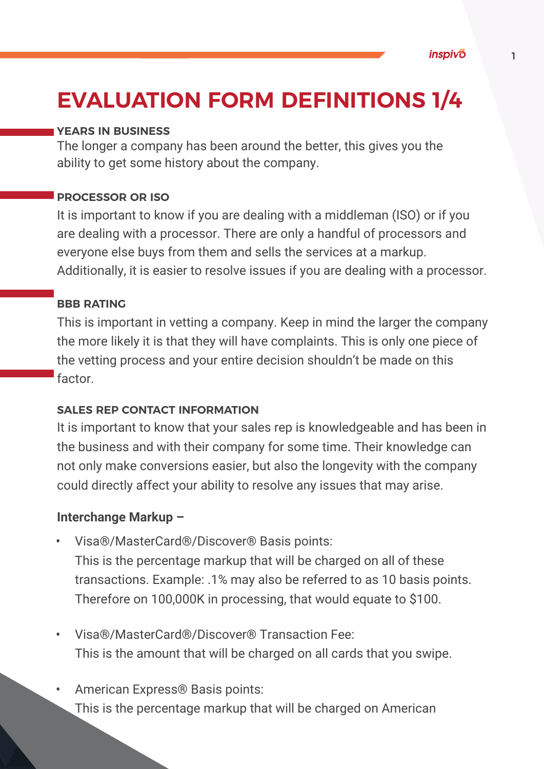# **EVALUATION FORM DEFINITIONS 1/4**

### **YEARS IN BUSINESS**

The longer a company has been around the better, this gives you the ability to get some history about the company.

### **PROCESSOR OR ISO**

It is important to know if you are dealing with a middleman (ISO) or if you are dealing with a processor. There are only a handful of processors and everyone else buys from them and sells the services at a markup. Additionally, it is easier to resolve issues if you are dealing with a processor.

### **BBB RATING**

This is important in vetting a company. Keep in mind the larger the company the more likely it is that they will have complaints. This is only one piece of the vetting process and your entire decision shouldn't be made on this factor.

#### **SALES REP CONTACT INFORMATION**

It is important to know that your sales rep is knowledgeable and has been in the business and with their company for some time. Their knowledge can not only make conversions easier, but also the longevity with the company could directly affect your ability to resolve any issues that may arise.

### **Interchange Markup –**

- Visa®/MasterCard®/Discover® Basis points: This is the percentage markup that will be charged on all of these transactions. Example: .1% may also be referred to as 10 basis points. Therefore on 100,000K in processing, that would equate to \$100.
- Visa®/MasterCard®/Discover® Transaction Fee: This is the amount that will be charged on all cards that you swipe.
- American Express® Basis points: This is the percentage markup that will be charged on American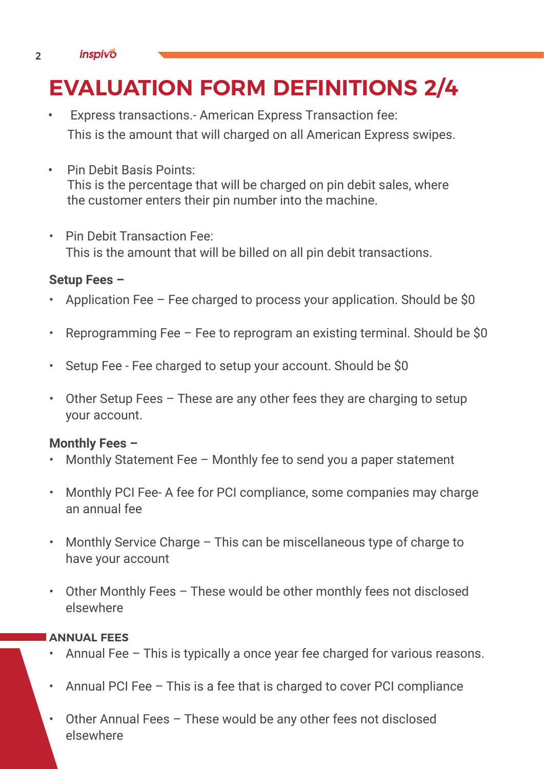#### 2 *inspivo*

# **EVALUATION FORM DEFINITIONS 2/4**

- Express transactions. American Express Transaction fee: This is the amount that will charged on all American Express swipes.
- Pin Debit Basis Points: This is the percentage that will be charged on pin debit sales, where the customer enters their pin number into the machine.
- Pin Debit Transaction Fee: This is the amount that will be billed on all pin debit transactions.

# **Setup Fees –**

- Application Fee Fee charged to process your application. Should be \$0
- Reprogramming Fee Fee to reprogram an existing terminal. Should be  $$0$
- Setup Fee Fee charged to setup your account. Should be \$0
- Other Setup Fees These are any other fees they are charging to setup your account.

# **Monthly Fees –**

- Monthly Statement Fee Monthly fee to send you a paper statement
- Monthly PCI Fee- A fee for PCI compliance, some companies may charge an annual fee
- Monthly Service Charge This can be miscellaneous type of charge to have your account
- Other Monthly Fees These would be other monthly fees not disclosed elsewhere

# **ANNUAL FEES**

- Annual Fee This is typically a once year fee charged for various reasons.
- Annual PCI Fee This is a fee that is charged to cover PCI compliance
- Other Annual Fees These would be any other fees not disclosed elsewhere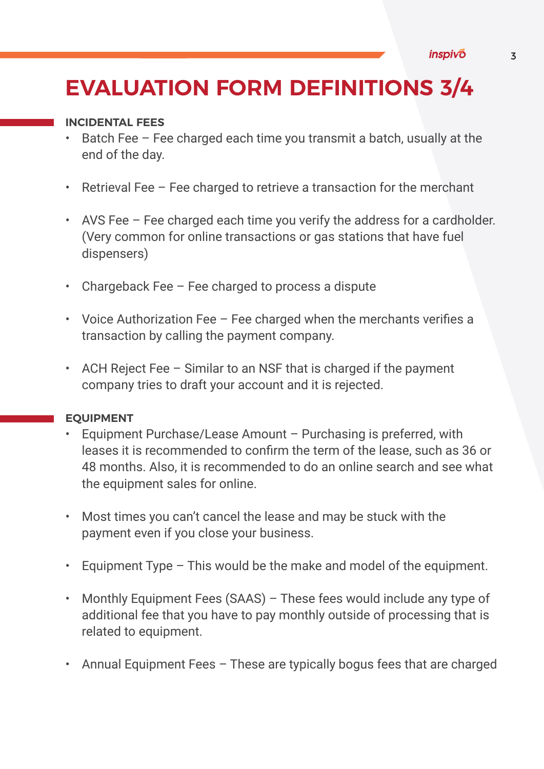# **EVALUATION FORM DEFINITIONS 3/4**

### **INCIDENTAL FEES**

- Batch Fee Fee charged each time you transmit a batch, usually at the end of the day.
- Retrieval Fee Fee charged to retrieve a transaction for the merchant
- AVS Fee Fee charged each time you verify the address for a cardholder. (Very common for online transactions or gas stations that have fuel dispensers)
- Chargeback Fee Fee charged to process a dispute
- Voice Authorization Fee Fee charged when the merchants verifies a transaction by calling the payment company.
- ACH Reject Fee Similar to an NSF that is charged if the payment company tries to draft your account and it is rejected.

# **EQUIPMENT**

- Equipment Purchase/Lease Amount Purchasing is preferred, with leases it is recommended to confirm the term of the lease, such as 36 or 48 months. Also, it is recommended to do an online search and see what the equipment sales for online.
- Most times you can't cancel the lease and may be stuck with the payment even if you close your business.
- Equipment Type This would be the make and model of the equipment.
- Monthly Equipment Fees (SAAS) These fees would include any type of additional fee that you have to pay monthly outside of processing that is related to equipment.
- Annual Equipment Fees These are typically bogus fees that are charged